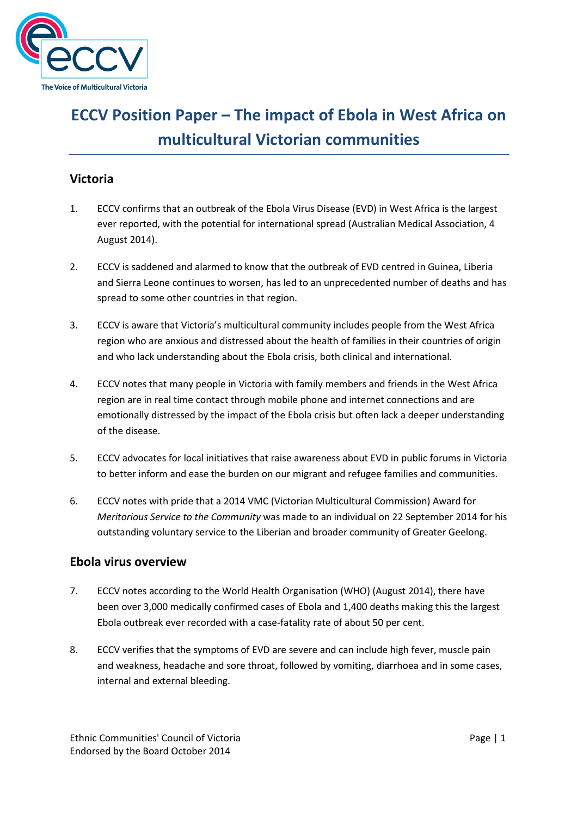

# and the set of ECCV Position Paper – The impact of Ebola in West Africa on multicultural Victorian communities

# Victoria

- 1. ECCV confirms that an outbreak of the Ebola Virus Disease (EVD) in West Africa is the largest ever reported, with the potential for international spread (Australian Medical Association, 4 August 2014).
- 2. ECCV is saddened and alarmed to know that the outbreak of EVD centred in Guinea, Liberia and Sierra Leone continues to worsen, has led to an unprecedented number of deaths and has spread to some other countries in that region.
- 3. ECCV is aware that Victoria's multicultural community includes people from the West Africa region who are anxious and distressed about the health of families in their countries of origin and who lack understanding about the Ebola crisis, both clinical and international.
- 4. ECCV notes that many people in Victoria with family members and friends in the West Africa region are in real time contact through mobile phone and internet connections and are emotionally distressed by the impact of the Ebola crisis but often lack a deeper understanding of the disease.
- 5. ECCV advocates for local initiatives that raise awareness about EVD in public forums in Victoria to better inform and ease the burden on our migrant and refugee families and communities.
- 6. ECCV notes with pride that a 2014 VMC (Victorian Multicultural Commission) Award for Meritorious Service to the Community was made to an individual on 22 September 2014 for his outstanding voluntary service to the Liberian and broader community of Greater Geelong.

## Ebola virus overview

- 7. ECCV notes according to the World Health Organisation (WHO) (August 2014), there have been over 3,000 medically confirmed cases of Ebola and 1,400 deaths making this the largest Ebola outbreak ever recorded with a case-fatality rate of about 50 per cent.
- 8. ECCV verifies that the symptoms of EVD are severe and can include high fever, muscle pain and weakness, headache and sore throat, followed by vomiting, diarrhoea and in some cases, internal and external bleeding.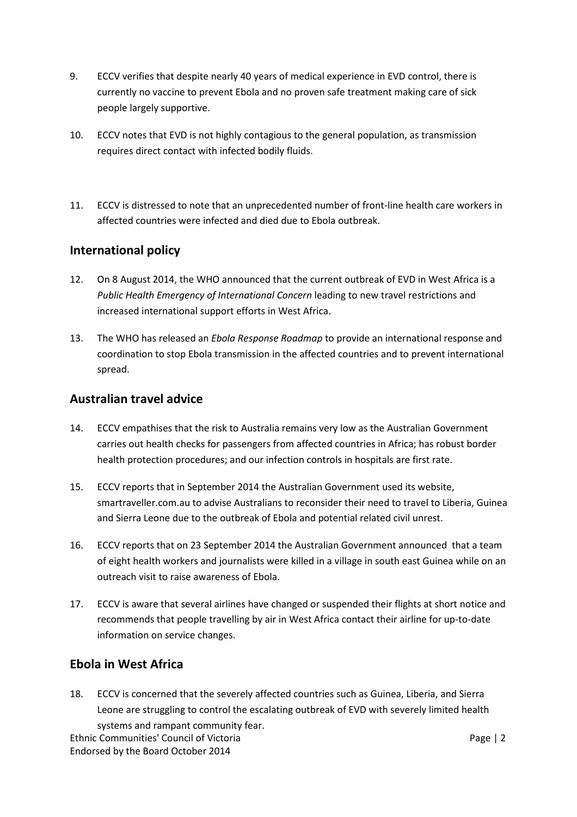- 9. ECCV verifies that despite nearly 40 years of medical experience in EVD control, there is currently no vaccine to prevent Ebola and no proven safe treatment making care of sick people largely supportive.
- 10. ECCV notes that EVD is not highly contagious to the general population, as transmission requires direct contact with infected bodily fluids.
- 11. ECCV is distressed to note that an unprecedented number of front-line health care workers in affected countries were infected and died due to Ebola outbreak.

## International policy

- 12. On 8 August 2014, the WHO announced that the current outbreak of EVD in West Africa is a Public Health Emergency of International Concern leading to new travel restrictions and increased international support efforts in West Africa.
- 13. The WHO has released an *Ebola Response Roadmap* to provide an international response and coordination to stop Ebola transmission in the affected countries and to prevent international spread.

### Australian travel advice

- 14. ECCV empathises that the risk to Australia remains very low as the Australian Government carries out health checks for passengers from affected countries in Africa; has robust border health protection procedures; and our infection controls in hospitals are first rate.
- 15. ECCV reports that in September 2014 the Australian Government used its website, smartraveller.com.au to advise Australians to reconsider their need to travel to Liberia, Guinea and Sierra Leone due to the outbreak of Ebola and potential related civil unrest.
- 16. ECCV reports that on 23 September 2014 the Australian Government announced that a team of eight health workers and journalists were killed in a village in south east Guinea while on an outreach visit to raise awareness of Ebola.
- 17. ECCV is aware that several airlines have changed or suspended their flights at short notice and recommends that people travelling by air in West Africa contact their airline for up-to-date information on service changes.

## Ebola in West Africa

18. ECCV is concerned that the severely affected countries such as Guinea, Liberia, and Sierra Leone are struggling to control the escalating outbreak of EVD with severely limited health systems and rampant community fear.